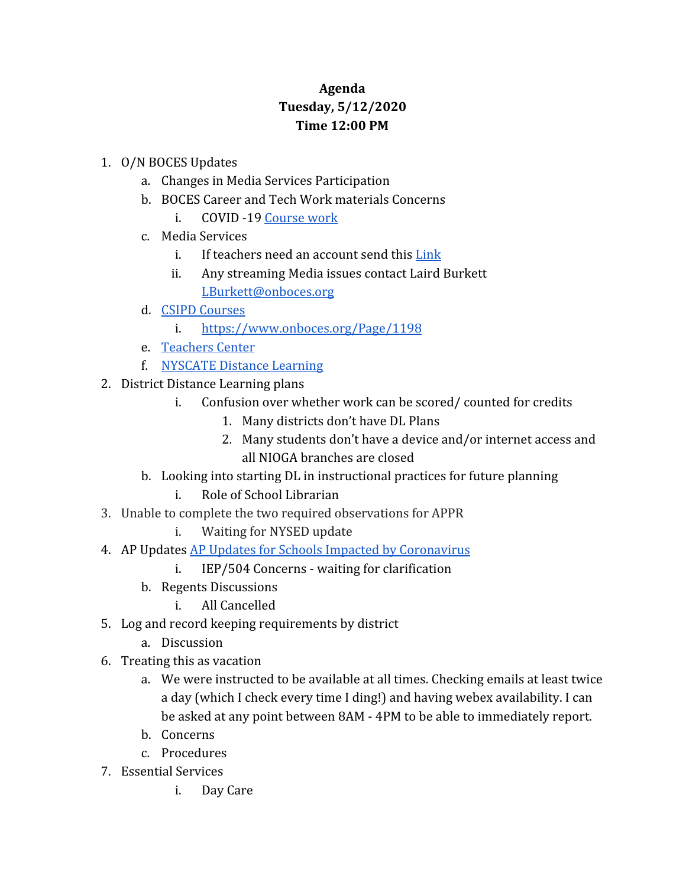## **Agenda Tuesday, 5/12/2020 Time 12:00 PM**

## 1. O/N BOCES Updates

- a. Changes in Media Services Participation
- b. BOCES Career and Tech Work materials Concerns
	- i. COVID -19 [Course work](https://www.onboces.org/Page/1197)
- c. Media Services
	- i. If teachers need an account send this [Link](http://webmax.onboces.org/index.php/snap/contact_us/request_account)
	- ii. Any streaming Media issues contact Laird Burkett [LBurkett@onboces.org](mailto:LBurkett@onboces.org)
- d. [CSIPD Courses](https://docs.google.com/document/d/1CrY5KcPjFRQXf0btK8xE5SDG4dmLtG2dLsp2C8uumcI/edit)
	- i. <https://www.onboces.org/Page/1198>
- e. [Teachers Center](https://onteachercenter.wixsite.com/ontc)
- f. [NYSCATE Distance Learning](https://nyscate.configio.com/pd/431?code=OvFTRD9m6i)
- 2. District Distance Learning plans
	- i. Confusion over whether work can be scored/ counted for credits
		- 1. Many districts don't have DL Plans
		- 2. Many students don't have a device and/or internet access and all NIOGA branches are closed
	- b. Looking into starting DL in instructional practices for future planning
		- i. Role of School Librarian
- 3. Unable to complete the two required observations for APPR
	- i. Waiting for NYSED update
- 4. AP Updates [AP Updates for Schools Impacted by Coronavirus](https://apcentral.collegeboard.org/about-ap/news-changes/coronavirus-update)
	- i. IEP/504 Concerns waiting for clarification
	- b. Regents Discussions
		- i. All Cancelled
- 5. Log and record keeping requirements by district
	- a. Discussion
- 6. Treating this as vacation
	- a. We were instructed to be available at all times. Checking emails at least twice a day (which I check every time I ding!) and having webex availability. I can be asked at any point between 8AM - 4PM to be able to immediately report.
	- b. Concerns
	- c. Procedures
- 7. Essential Services
	- i. Day Care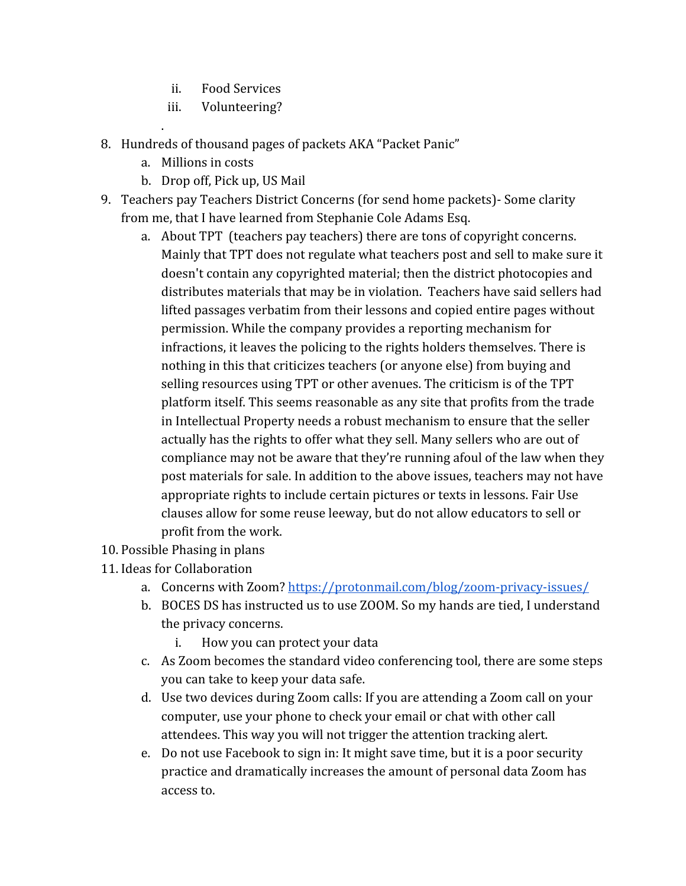- ii. Food Services
- iii. Volunteering?
- 8. Hundreds of thousand pages of packets AKA "Packet Panic"
	- a. Millions in costs

.

- b. Drop off, Pick up, US Mail
- 9. Teachers pay Teachers District Concerns (for send home packets)- Some clarity from me, that I have learned from Stephanie Cole Adams Esq.
	- a. About TPT (teachers pay teachers) there are tons of copyright concerns. Mainly that TPT does not regulate what teachers post and sell to make sure it doesn't contain any copyrighted material; then the district photocopies and distributes materials that may be in violation. Teachers have said sellers had lifted passages verbatim from their lessons and copied entire pages without permission. While the company provides a reporting mechanism for infractions, it leaves the policing to the rights holders themselves. There is nothing in this that criticizes teachers (or anyone else) from buying and selling resources using TPT or other avenues. The criticism is of the TPT platform itself. This seems reasonable as any site that profits from the trade in Intellectual Property needs a robust mechanism to ensure that the seller actually has the rights to offer what they sell. Many sellers who are out of compliance may not be aware that they're running afoul of the law when they post materials for sale. In addition to the above issues, teachers may not have appropriate rights to include certain pictures or texts in lessons. Fair Use clauses allow for some reuse leeway, but do not allow educators to sell or profit from the work.
- 10. Possible Phasing in plans
- 11. Ideas for Collaboration
	- a. Concerns with Zoom?<https://protonmail.com/blog/zoom-privacy-issues/>
	- b. BOCES DS has instructed us to use ZOOM. So my hands are tied, I understand the privacy concerns.
		- i. How you can protect your data
	- c. As Zoom becomes the standard video conferencing tool, there are some steps you can take to keep your data safe.
	- d. Use two devices during Zoom calls: If you are attending a Zoom call on your computer, use your phone to check your email or chat with other call attendees. This way you will not trigger the attention tracking alert.
	- e. Do not use Facebook to sign in: It might save time, but it is a poor security practice and dramatically increases the amount of personal data Zoom has access to.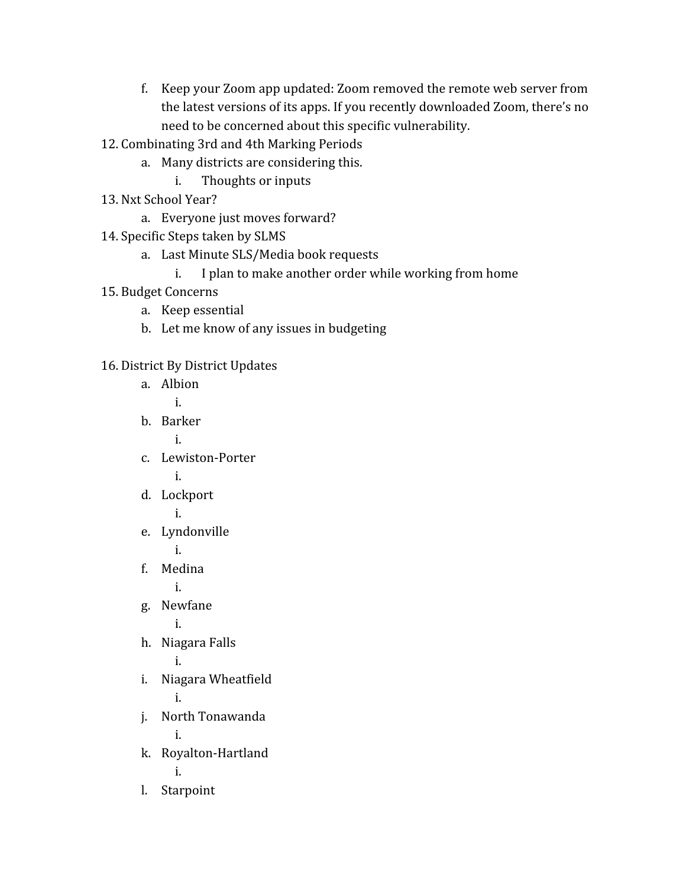- f. Keep your Zoom app updated: Zoom removed the remote web server from the latest versions of its apps. If you recently downloaded Zoom, there's no need to be concerned about this specific vulnerability.
- 12. Combinating 3rd and 4th Marking Periods
	- a. Many districts are considering this.
		- i. Thoughts or inputs
- 13. Nxt School Year?
	- a. Everyone just moves forward?
- 14. Specific Steps taken by SLMS
	- a. Last Minute SLS/Media book requests
		- i. I plan to make another order while working from home
- 15. Budget Concerns
	- a. Keep essential
	- b. Let me know of any issues in budgeting
- 16. District By District Updates

|      | a. Albion          |
|------|--------------------|
|      | i.                 |
|      | b. Barker          |
|      | i.                 |
|      | c. Lewiston-Porter |
|      | i.                 |
| d.   | Lockport           |
|      | i.                 |
| e.   | Lyndonville        |
|      | i.                 |
|      | f. Medina          |
|      | i.                 |
|      | g. Newfane         |
|      | i.                 |
| h.   | Niagara Falls      |
|      | i.                 |
| i.   | Niagara Wheatfield |
|      | i.                 |
| j.   | North Tonawanda    |
|      | i.                 |
| k.   | Royalton-Hartland  |
|      | i.                 |
| l. – | Starpoint          |